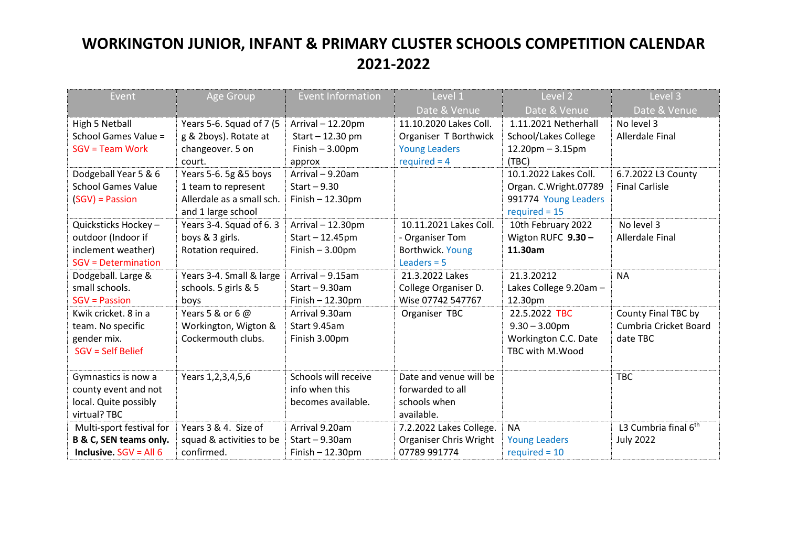| Event                           | Age Group                 | <b>Event Information</b> | Level 1                 | Level 2                     | Level 3                          |
|---------------------------------|---------------------------|--------------------------|-------------------------|-----------------------------|----------------------------------|
|                                 |                           |                          | Date & Venue            | Date & Venue                | Date & Venue                     |
| High 5 Netball                  | Years 5-6. Squad of 7 (5  | Arrival - 12.20pm        | 11.10.2020 Lakes Coll.  | 1.11.2021 Netherhall        | No level 3                       |
| School Games Value =            | g & 2boys). Rotate at     | Start - 12.30 pm         | Organiser T Borthwick   | <b>School/Lakes College</b> | Allerdale Final                  |
| $SGV = Team Work$               | changeover. 5 on          | Finish $-3.00$ pm        | <b>Young Leaders</b>    | $12.20$ pm $-3.15$ pm       |                                  |
|                                 | court.                    | approx                   | $required = 4$          | (TBC)                       |                                  |
| Dodgeball Year 5 & 6            | Years 5-6. 5g &5 boys     | Arrival - 9.20am         |                         | 10.1.2022 Lakes Coll.       | 6.7.2022 L3 County               |
| <b>School Games Value</b>       | 1 team to represent       | Start $-9.30$            |                         | Organ. C.Wright.07789       | <b>Final Carlisle</b>            |
| $(SGV)$ = Passion               | Allerdale as a small sch. | Finish $-12.30$ pm       |                         | 991774 Young Leaders        |                                  |
|                                 | and 1 large school        |                          |                         | $required = 15$             |                                  |
| Quicksticks Hockey -            | Years 3-4. Squad of 6.3   | Arrival - 12.30pm        | 10.11.2021 Lakes Coll.  | 10th February 2022          | No level 3                       |
| outdoor (Indoor if              | boys & 3 girls.           | $Start - 12.45pm$        | - Organiser Tom         | Wigton RUFC 9.30-           | <b>Allerdale Final</b>           |
| inclement weather)              | Rotation required.        | Finish $-3.00$ pm        | Borthwick. Young        | 11.30am                     |                                  |
| <b>SGV = Determination</b>      |                           |                          | Leaders $= 5$           |                             |                                  |
| Dodgeball. Large &              | Years 3-4. Small & large  | Arrival - 9.15am         | 21.3.2022 Lakes         | 21.3.20212                  | <b>NA</b>                        |
| small schools.                  | schools. 5 girls & 5      | Start $-9.30$ am         | College Organiser D.    | Lakes College 9.20am -      |                                  |
| <b>SGV = Passion</b>            | boys                      | $Finish - 12.30pm$       | Wise 07742 547767       | 12.30pm                     |                                  |
| Kwik cricket. 8 in a            | Years 5 & or 6 $@$        | Arrival 9.30am           | Organiser TBC           | 22.5.2022 TBC               | County Final TBC by              |
| team. No specific               | Workington, Wigton &      | Start 9.45am             |                         | $9.30 - 3.00$ pm            | Cumbria Cricket Board            |
| gender mix.                     | Cockermouth clubs.        | Finish 3.00pm            |                         | Workington C.C. Date        | date TBC                         |
| SGV = Self Belief               |                           |                          |                         | TBC with M.Wood             |                                  |
|                                 |                           |                          |                         |                             |                                  |
| Gymnastics is now a             | Years 1, 2, 3, 4, 5, 6    | Schools will receive     | Date and venue will be  |                             | <b>TBC</b>                       |
| county event and not            |                           | info when this           | forwarded to all        |                             |                                  |
| local. Quite possibly           |                           | becomes available.       | schools when            |                             |                                  |
| virtual? TBC                    |                           |                          | available.              |                             |                                  |
| Multi-sport festival for        | Years 3 & 4. Size of      | Arrival 9.20am           | 7.2.2022 Lakes College. | <b>NA</b>                   | L3 Cumbria final 6 <sup>th</sup> |
| B & C, SEN teams only.          | squad & activities to be  | Start $-9.30$ am         | Organiser Chris Wright  | <b>Young Leaders</b>        | <b>July 2022</b>                 |
| <b>Inclusive.</b> $SGV = All 6$ | confirmed.                | $Finish - 12.30pm$       | 07789 991774            | $required = 10$             |                                  |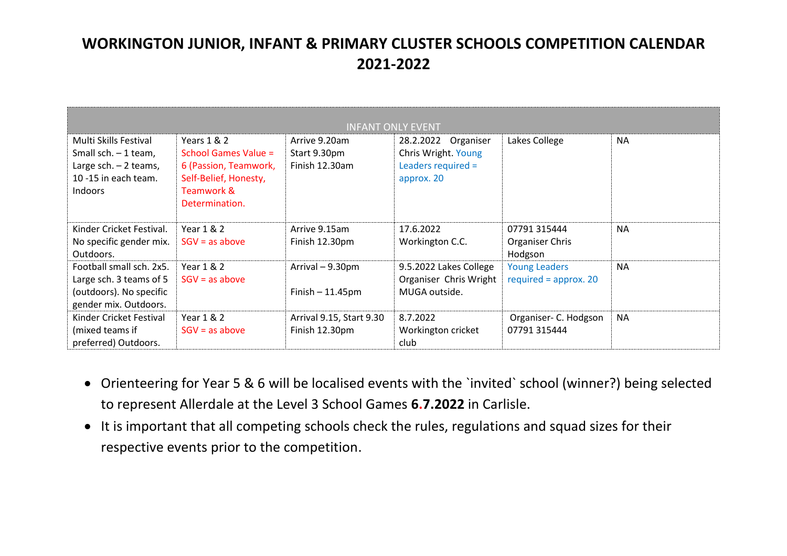| <b>INFANT ONLY EVENT</b>                                                                                          |                                                                                                                       |                                                 |                                                                                   |                                                 |           |  |  |  |  |
|-------------------------------------------------------------------------------------------------------------------|-----------------------------------------------------------------------------------------------------------------------|-------------------------------------------------|-----------------------------------------------------------------------------------|-------------------------------------------------|-----------|--|--|--|--|
| Multi Skills Festival<br>Small sch. - 1 team,<br>Large sch. $-2$ teams,<br>10 -15 in each team.<br><b>Indoors</b> | Years 1 & 2<br>School Games Value =<br>6 (Passion, Teamwork,<br>Self-Belief, Honesty,<br>Teamwork &<br>Determination. | Arrive 9.20am<br>Start 9.30pm<br>Finish 12.30am | Organiser<br>28.2.2022<br>Chris Wright. Young<br>Leaders required =<br>approx. 20 | Lakes College                                   | <b>NA</b> |  |  |  |  |
| Kinder Cricket Festival.<br>No specific gender mix.<br>Outdoors.                                                  | Year 1 & 2<br>$SGV = as above$                                                                                        | Arrive 9.15am<br>Finish 12.30pm                 | 17.6.2022<br>Workington C.C.                                                      | 07791 315444<br>Organiser Chris<br>Hodgson      | <b>NA</b> |  |  |  |  |
| Football small sch. 2x5.<br>Large sch. 3 teams of 5<br>(outdoors). No specific<br>gender mix. Outdoors.           | Year 1 & 2<br>$SGV = as above$                                                                                        | Arrival - 9.30pm<br>Finish $-11.45$ pm          | 9.5.2022 Lakes College<br>Organiser Chris Wright<br>MUGA outside.                 | <b>Young Leaders</b><br>required = $approx. 20$ | <b>NA</b> |  |  |  |  |
| Kinder Cricket Festival<br>(mixed teams if<br>preferred) Outdoors.                                                | Year 1 & 2<br>$SGV = as above$                                                                                        | Arrival 9.15, Start 9.30<br>Finish 12.30pm      | 8.7.2022<br>Workington cricket<br>club                                            | Organiser- C. Hodgson<br>07791 315444           | <b>NA</b> |  |  |  |  |

- Orienteering for Year 5 & 6 will be localised events with the `invited` school (winner?) being selected to represent Allerdale at the Level 3 School Games **6.7.2022** in Carlisle.
- It is important that all competing schools check the rules, regulations and squad sizes for their respective events prior to the competition.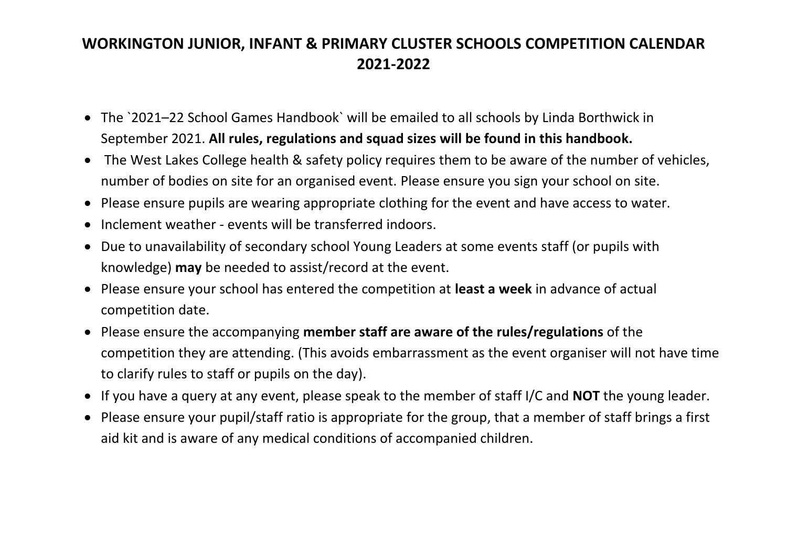- The `2021–22 School Games Handbook` will be emailed to all schools by Linda Borthwick in September 2021. **All rules, regulations and squad sizes will be found in this handbook.**
- The West Lakes College health & safety policy requires them to be aware of the number of vehicles, number of bodies on site for an organised event. Please ensure you sign your school on site.
- Please ensure pupils are wearing appropriate clothing for the event and have access to water.
- Inclement weather events will be transferred indoors.
- Due to unavailability of secondary school Young Leaders at some events staff (or pupils with knowledge) **may** be needed to assist/record at the event.
- Please ensure your school has entered the competition at **least a week** in advance of actual competition date.
- Please ensure the accompanying **member staff are aware of the rules/regulations** of the competition they are attending. (This avoids embarrassment as the event organiser will not have time to clarify rules to staff or pupils on the day).
- If you have a query at any event, please speak to the member of staff I/C and **NOT** the young leader.
- Please ensure your pupil/staff ratio is appropriate for the group, that a member of staff brings a first aid kit and is aware of any medical conditions of accompanied children.